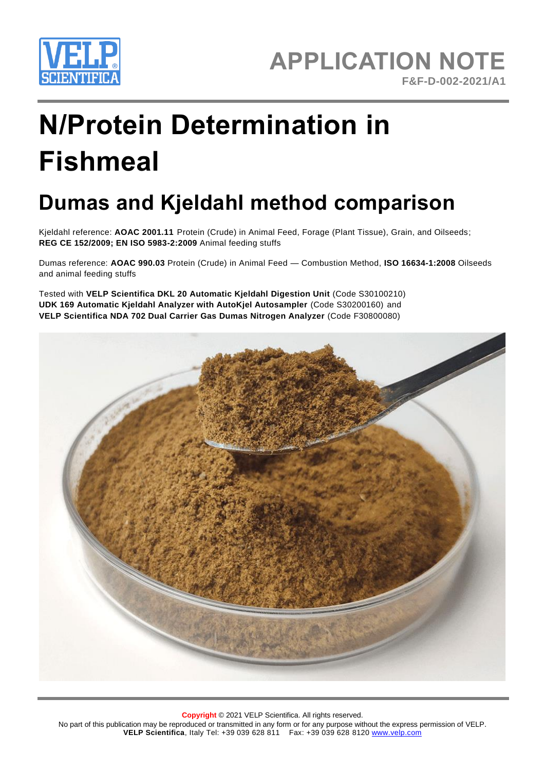

# **N/Protein Determination in Fishmeal**

# **Dumas and Kjeldahl method comparison**

Kjeldahl reference: **AOAC 2001.11** Protein (Crude) in Animal Feed, Forage (Plant Tissue), Grain, and Oilseeds; **REG CE 152/2009; EN ISO 5983-2:2009** Animal feeding stuffs

Dumas reference: **AOAC 990.03** Protein (Crude) in Animal Feed — Combustion Method, **ISO 16634-1:2008** Oilseeds and animal feeding stuffs

Tested with **VELP Scientifica DKL 20 Automatic Kjeldahl Digestion Unit** (Code S30100210) **UDK 169 Automatic Kjeldahl Analyzer with AutoKjel Autosampler** (Code S30200160) and **VELP Scientifica NDA 702 Dual Carrier Gas Dumas Nitrogen Analyzer** (Code F30800080)

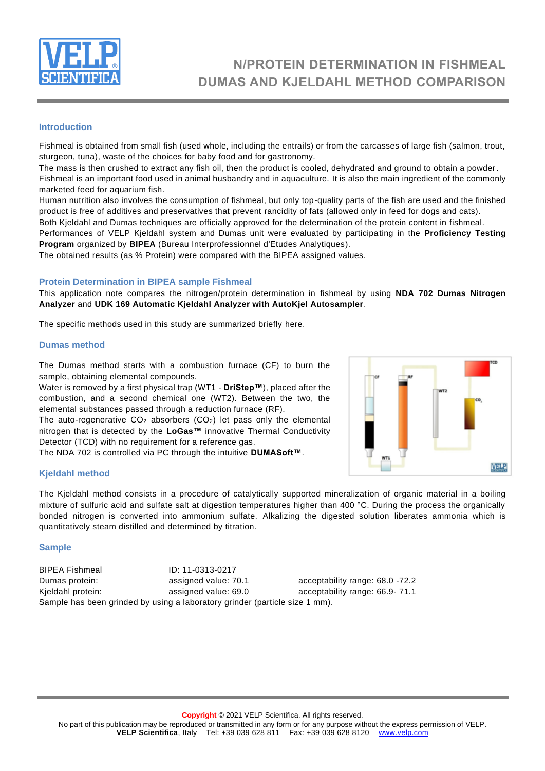

## **N/PROTEIN DETERMINATION IN FISHMEAL DUMAS AND KJELDAHL METHOD COMPARISON**

#### **Introduction**

Fishmeal is obtained from small fish (used whole, including the entrails) or from the carcasses of large fish (salmon, trout, sturgeon, tuna), waste of the choices for baby food and for gastronomy.

The mass is then crushed to extract any fish oil, then the product is cooled, dehydrated and ground to obtain a powder. Fishmeal is an important food used in animal husbandry and in aquaculture. It is also the main ingredient of the commonly marketed feed for aquarium fish.

Human nutrition also involves the consumption of fishmeal, but only top-quality parts of the fish are used and the finished product is free of additives and preservatives that prevent rancidity of fats (allowed only in feed for dogs and cats).

Both Kjeldahl and Dumas techniques are officially approved for the determination of the protein content in fishmeal. Performances of VELP Kjeldahl system and Dumas unit were evaluated by participating in the **Proficiency Testing Program** organized by **BIPEA** (Bureau Interprofessionnel d'Etudes Analytiques).

The obtained results (as % Protein) were compared with the BIPEA assigned values.

#### **Protein Determination in BIPEA sample Fishmeal**

This application note compares the nitrogen/protein determination in fishmeal by using **NDA 702 Dumas Nitrogen Analyzer** and **UDK 169 Automatic Kjeldahl Analyzer with AutoKjel Autosampler**.

The specific methods used in this study are summarized briefly here.

#### **Dumas method**

The Dumas method starts with a combustion furnace (CF) to burn the sample, obtaining elemental compounds.

Water is removed by a first physical trap (WT1 - **DriStep™**), placed after the combustion, and a second chemical one (WT2). Between the two, the elemental substances passed through a reduction furnace (RF).

The auto-regenerative  $CO<sub>2</sub>$  absorbers ( $CO<sub>2</sub>$ ) let pass only the elemental nitrogen that is detected by the **LoGas™** innovative Thermal Conductivity Detector (TCD) with no requirement for a reference gas.

The NDA 702 is controlled via PC through the intuitive **DUMASoft™**.

#### **Kjeldahl method**

The Kjeldahl method consists in a procedure of catalytically supported mineralization of organic material in a boiling mixture of sulfuric acid and sulfate salt at digestion temperatures higher than 400 °C. During the process the organically bonded nitrogen is converted into ammonium sulfate. Alkalizing the digested solution liberates ammonia which is quantitatively steam distilled and determined by titration.

#### **Sample**

BIPEA Fishmeal ID: 11-0313-0217 Dumas protein: assigned value: 70.1 acceptability range: 68.0 -72.2 Kieldahl protein: assigned value: 69.0 acceptability range: 66.9-71.1 Sample has been grinded by using a laboratory grinder (particle size 1 mm).

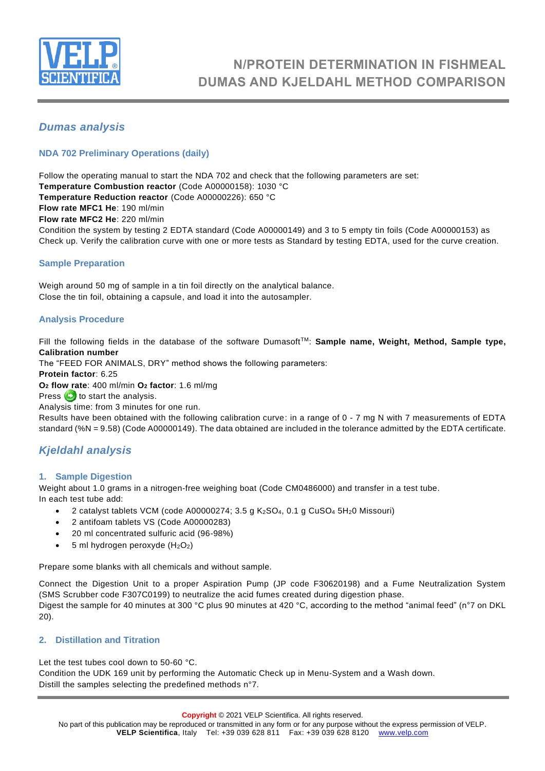

## **N/PROTEIN DETERMINATION IN FISHMEAL DUMAS AND KJELDAHL METHOD COMPARISON**

#### *Dumas analysis*

#### **NDA 702 Preliminary Operations (daily)**

Follow the operating manual to start the NDA 702 and check that the following parameters are set: **Temperature Combustion reactor** (Code A00000158): 1030 °C **Temperature Reduction reactor** (Code A00000226): 650 °C **Flow rate MFC1 He**: 190 ml/min **Flow rate MFC2 He**: 220 ml/min Condition the system by testing 2 EDTA standard (Code A00000149) and 3 to 5 empty tin foils (Code A00000153) as Check up. Verify the calibration curve with one or more tests as Standard by testing EDTA, used for the curve creation.

#### **Sample Preparation**

Weigh around 50 mg of sample in a tin foil directly on the analytical balance. Close the tin foil, obtaining a capsule, and load it into the autosampler.

#### **Analysis Procedure**

Fill the following fields in the database of the software Dumasoft<sup>TM</sup>: **Sample name, Weight, Method, Sample type, Calibration number**

The "FEED FOR ANIMALS, DRY" method shows the following parameters:

**Protein factor**: 6.25

**O<sup>2</sup> flow rate**: 400 ml/min **O<sup>2</sup> factor**: 1.6 ml/mg

Press  $\leftrightarrow$  to start the analysis.

Analysis time: from 3 minutes for one run.

Results have been obtained with the following calibration curve: in a range of 0 - 7 mg N with 7 measurements of EDTA standard (%N = 9.58) (Code A00000149). The data obtained are included in the tolerance admitted by the EDTA certificate.

#### *Kjeldahl analysis*

#### **1. Sample Digestion**

Weight about 1.0 grams in a nitrogen-free weighing boat (Code CM0486000) and transfer in a test tube. In each test tube add:

- 2 catalyst tablets VCM (code A00000274; 3.5 g K2SO4, 0.1 g CuSO<sup>4</sup> 5H20 Missouri)
- 2 antifoam tablets VS (Code A00000283)
- 20 ml concentrated sulfuric acid (96-98%)
- 5 ml hydrogen peroxyde  $(H_2O_2)$

Prepare some blanks with all chemicals and without sample.

Connect the Digestion Unit to a proper Aspiration Pump (JP code F30620198) and a Fume Neutralization System (SMS Scrubber code F307C0199) to neutralize the acid fumes created during digestion phase. Digest the sample for 40 minutes at 300 °C plus 90 minutes at 420 °C, according to the method "animal feed" (n°7 on DKL 20).

#### **2. Distillation and Titration**

Let the test tubes cool down to 50-60 °C.

Condition the UDK 169 unit by performing the Automatic Check up in Menu-System and a Wash down. Distill the samples selecting the predefined methods n°7.